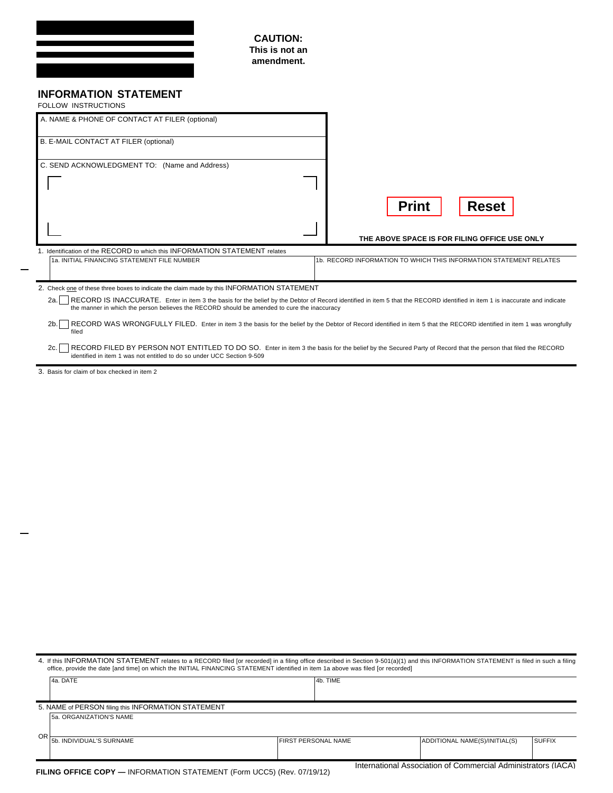| <b>CAUTION:</b><br>This is not an<br>amendment.                                                                            |                                                                                                                                                                             |
|----------------------------------------------------------------------------------------------------------------------------|-----------------------------------------------------------------------------------------------------------------------------------------------------------------------------|
| <b>INFORMATION STATEMENT</b><br>FOLLOW INSTRUCTIONS                                                                        |                                                                                                                                                                             |
| A. NAME & PHONE OF CONTACT AT FILER (optional)                                                                             |                                                                                                                                                                             |
| B. E-MAIL CONTACT AT FILER (optional)                                                                                      |                                                                                                                                                                             |
| C. SEND ACKNOWLEDGMENT TO: (Name and Address)                                                                              |                                                                                                                                                                             |
|                                                                                                                            |                                                                                                                                                                             |
|                                                                                                                            | <b>Reset</b><br><b>Print</b>                                                                                                                                                |
|                                                                                                                            | THE ABOVE SPACE IS FOR FILING OFFICE USE ONLY                                                                                                                               |
| 1. Identification of the RECORD to which this INFORMATION STATEMENT relates<br>1a. INITIAL FINANCING STATEMENT FILE NUMBER | 1b. RECORD INFORMATION TO WHICH THIS INFORMATION STATEMENT RELATES                                                                                                          |
|                                                                                                                            |                                                                                                                                                                             |
| 2. Check one of these three boxes to indicate the claim made by this INFORMATION STATEMENT                                 |                                                                                                                                                                             |
| 2a.<br>the manner in which the person believes the RECORD should be amended to cure the inaccuracy                         | RECORD IS INACCURATE. Enter in item 3 the basis for the belief by the Debtor of Record identified in item 5 that the RECORD identified in item 1 is inaccurate and indicate |

2b. ERECORD WAS WRONGFULLY FILED. Enter in item 3 the basis for the belief by the Debtor of Record identified in item 5 that the RECORD identified in item 1 was wrongfully<br>filed

RECORD FILED BY PERSON NOT ENTITLED TO DO SO. Enter in item 3 the basis for the belief by the Secured Party of Record that the person that filed the RECORD identified in item 1 was not entitled to do so under UCC Section 9

3. Basis for claim of box checked in item 2

| office, provide the date [and time] on which the INITIAL FINANCING STATEMENT identified in item 1a above was filed [or recorded]<br>4a. DATE | 4b. TIME                   |                               |               |  |
|----------------------------------------------------------------------------------------------------------------------------------------------|----------------------------|-------------------------------|---------------|--|
|                                                                                                                                              |                            |                               |               |  |
| 5. NAME of PERSON filing this INFORMATION STATEMENT                                                                                          |                            |                               |               |  |
| 5a. ORGANIZATION'S NAME                                                                                                                      |                            |                               |               |  |
| ΟR<br>5b. INDIVIDUAL'S SURNAME                                                                                                               | <b>FIRST PERSONAL NAME</b> | ADDITIONAL NAME(S)/INITIAL(S) | <b>SUFFIX</b> |  |
|                                                                                                                                              |                            |                               |               |  |